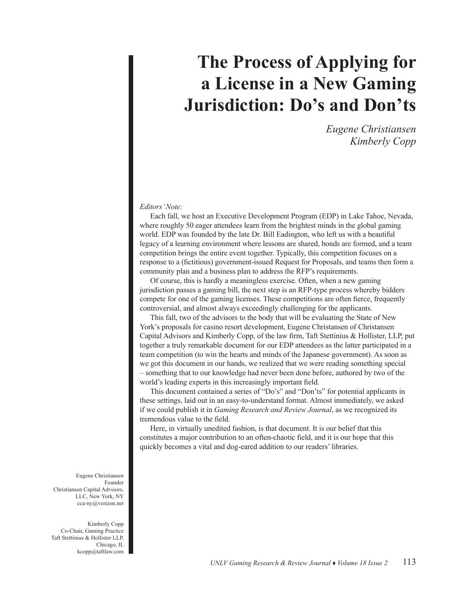## **The Process of Applying for a License in a New Gaming Jurisdiction: Do's and Don'ts**

*Eugene Christiansen Kimberly Copp*

## *Editors' Note:*

Each fall, we host an Executive Development Program (EDP) in Lake Tahoe, Nevada, where roughly 50 eager attendees learn from the brightest minds in the global gaming world. EDP was founded by the late Dr. Bill Eadington, who left us with a beautiful legacy of a learning environment where lessons are shared, bonds are formed, and a team competition brings the entire event together. Typically, this competition focuses on a response to a (fictitious) government-issued Request for Proposals, and teams then form a community plan and a business plan to address the RFP's requirements.

Of course, this is hardly a meaningless exercise. Often, when a new gaming jurisdiction passes a gaming bill, the next step is an RFP-type process whereby bidders compete for one of the gaming licenses. These competitions are often fierce, frequently controversial, and almost always exceedingly challenging for the applicants.

This fall, two of the advisors to the body that will be evaluating the State of New York's proposals for casino resort development, Eugene Christansen of Christansen Capital Advisors and Kimberly Copp, of the law firm, Taft Stettinius & Hollister, LLP, put together a truly remarkable document for our EDP attendees as the latter participated in a team competition (to win the hearts and minds of the Japanese government). As soon as we got this document in our hands, we realized that we were reading something special – something that to our knowledge had never been done before, authored by two of the world's leading experts in this increasingly important field.

This document contained a series of "Do's" and "Don'ts" for potential applicants in these settings, laid out in an easy-to-understand format. Almost immediately, we asked if we could publish it in *Gaming Research and Review Journal*, as we recognized its tremendous value to the field.

Here, in virtually unedited fashion, is that document. It is our belief that this constitutes a major contribution to an often-chaotic field, and it is our hope that this quickly becomes a vital and dog-eared addition to our readers' libraries.

Eugene Christiansen Founder Christiansen Capital Advisors, LLC, New York, NY cca-ny@verizon.net

Kimberly Copp Co-Chair, Gaming Practice Taft Stettinius & Hollister LLP, Chicago, IL kcopp@taftlaw.com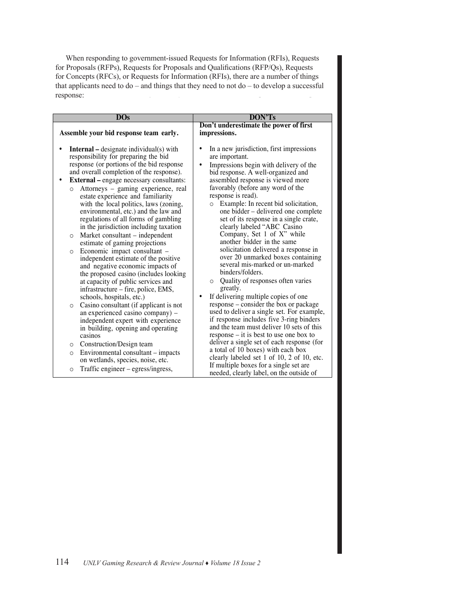When responding to government-issued Requests for Information (RFIs), Requests for Proposals (RFPs), Requests for Proposals and Qualifications (RFP/Qs), Requests for Concepts (RFCs), or Requests for Information (RFIs), there are a number of things that applicants need to do – and things that they need to not do – to develop a successful response:

| <b>DOs</b>                                                                                                                                                                                                                                                                                                                                                                                                                                                                                                                                                                                                                                                                                                                                                                                                                                                                                                                                             | <b>DON'Ts</b>                                                                                                                                                                                                                                                                                                                                                                                                                                                                                                                                                                                                                                                                                                                                                                                                                                         |
|--------------------------------------------------------------------------------------------------------------------------------------------------------------------------------------------------------------------------------------------------------------------------------------------------------------------------------------------------------------------------------------------------------------------------------------------------------------------------------------------------------------------------------------------------------------------------------------------------------------------------------------------------------------------------------------------------------------------------------------------------------------------------------------------------------------------------------------------------------------------------------------------------------------------------------------------------------|-------------------------------------------------------------------------------------------------------------------------------------------------------------------------------------------------------------------------------------------------------------------------------------------------------------------------------------------------------------------------------------------------------------------------------------------------------------------------------------------------------------------------------------------------------------------------------------------------------------------------------------------------------------------------------------------------------------------------------------------------------------------------------------------------------------------------------------------------------|
| Assemble your bid response team early.                                                                                                                                                                                                                                                                                                                                                                                                                                                                                                                                                                                                                                                                                                                                                                                                                                                                                                                 | Don't underestimate the power of first<br>impressions.                                                                                                                                                                                                                                                                                                                                                                                                                                                                                                                                                                                                                                                                                                                                                                                                |
| <b>Internal</b> – designate individual(s) with<br>responsibility for preparing the bid<br>response (or portions of the bid response<br>and overall completion of the response).<br><b>External</b> – engage necessary consultants:<br>٠<br>Attorneys – gaming experience, real<br>$\circ$<br>estate experience and familiarity<br>with the local politics, laws (zoning,<br>environmental, etc.) and the law and<br>regulations of all forms of gambling<br>in the jurisdiction including taxation<br>Market consultant – independent<br>$\circ$<br>estimate of gaming projections<br>Economic impact consultant -<br>$\circ$<br>independent estimate of the positive<br>and negative economic impacts of<br>the proposed casino (includes looking)<br>at capacity of public services and<br>infrastructure - fire, police, EMS,<br>schools, hospitals, etc.)<br>Casino consultant (if applicant is not<br>$\circ$<br>an experienced casino company) - | In a new jurisdiction, first impressions<br>are important.<br>Impressions begin with delivery of the<br>bid response. A well-organized and<br>assembled response is viewed more<br>favorably (before any word of the<br>response is read).<br>Example: In recent bid solicitation,<br>$\circ$<br>one bidder - delivered one complete<br>set of its response in a single crate,<br>clearly labeled "ABC Casino<br>Company, Set 1 of X" while<br>another bidder in the same<br>solicitation delivered a response in<br>over 20 unmarked boxes containing<br>several mis-marked or un-marked<br>binders/folders.<br>Quality of responses often varies<br>$\circ$<br>greatly.<br>If delivering multiple copies of one<br>response – consider the box or package<br>used to deliver a single set. For example,<br>if response includes five 3-ring binders |
| independent expert with experience<br>in building, opening and operating<br>casinos                                                                                                                                                                                                                                                                                                                                                                                                                                                                                                                                                                                                                                                                                                                                                                                                                                                                    | and the team must deliver 10 sets of this<br>$response - it$ is best to use one box to                                                                                                                                                                                                                                                                                                                                                                                                                                                                                                                                                                                                                                                                                                                                                                |
| Construction/Design team<br>$\circ$                                                                                                                                                                                                                                                                                                                                                                                                                                                                                                                                                                                                                                                                                                                                                                                                                                                                                                                    | deliver a single set of each response (for                                                                                                                                                                                                                                                                                                                                                                                                                                                                                                                                                                                                                                                                                                                                                                                                            |
| Environmental consultant – impacts<br>$\circ$<br>on wetlands, species, noise, etc.                                                                                                                                                                                                                                                                                                                                                                                                                                                                                                                                                                                                                                                                                                                                                                                                                                                                     | a total of 10 boxes) with each box<br>clearly labeled set 1 of 10, 2 of 10, etc.<br>If multiple boxes for a single set are.                                                                                                                                                                                                                                                                                                                                                                                                                                                                                                                                                                                                                                                                                                                           |
| Traffic engineer – egress/ingress,<br>$\circ$                                                                                                                                                                                                                                                                                                                                                                                                                                                                                                                                                                                                                                                                                                                                                                                                                                                                                                          | needed, clearly label, on the outside of                                                                                                                                                                                                                                                                                                                                                                                                                                                                                                                                                                                                                                                                                                                                                                                                              |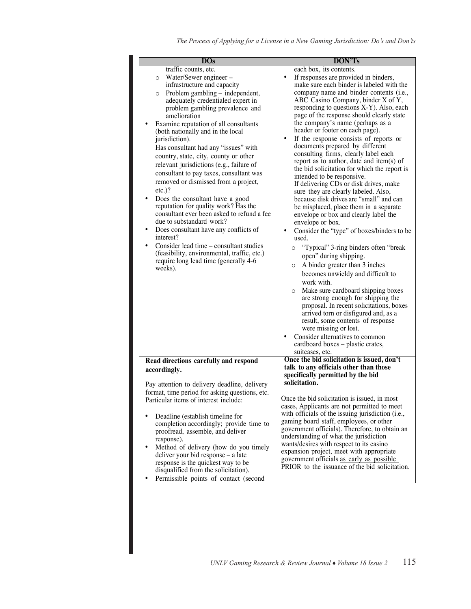| <b>DOs</b>                                                                                                                                                                                                                                                                                                                                                                                                                                                                                                                                                                                                                                                                                                                                                                                                                                                                                                                                          | DON'Ts                                                                                                                                                                                                                                                                                                                                                                                                                                                                                                                                                                                                                                                                                                                                                                                                                                                                                                                                                                                                                                                                                                                                                                                                                                                                                                                                                                                                                                        |
|-----------------------------------------------------------------------------------------------------------------------------------------------------------------------------------------------------------------------------------------------------------------------------------------------------------------------------------------------------------------------------------------------------------------------------------------------------------------------------------------------------------------------------------------------------------------------------------------------------------------------------------------------------------------------------------------------------------------------------------------------------------------------------------------------------------------------------------------------------------------------------------------------------------------------------------------------------|-----------------------------------------------------------------------------------------------------------------------------------------------------------------------------------------------------------------------------------------------------------------------------------------------------------------------------------------------------------------------------------------------------------------------------------------------------------------------------------------------------------------------------------------------------------------------------------------------------------------------------------------------------------------------------------------------------------------------------------------------------------------------------------------------------------------------------------------------------------------------------------------------------------------------------------------------------------------------------------------------------------------------------------------------------------------------------------------------------------------------------------------------------------------------------------------------------------------------------------------------------------------------------------------------------------------------------------------------------------------------------------------------------------------------------------------------|
| traffic counts, etc.<br>Water/Sewer engineer –<br>$\circ$<br>infrastructure and capacity<br>Problem gambling - independent,<br>$\circ$<br>adequately credentialed expert in<br>problem gambling prevalence and<br>amelioration<br>Examine reputation of all consultants<br>(both nationally and in the local<br>jurisdiction).<br>Has consultant had any "issues" with<br>country, state, city, county or other<br>relevant jurisdictions (e.g., failure of<br>consultant to pay taxes, consultant was<br>removed or dismissed from a project,<br>$etc.$ )?<br>٠<br>Does the consultant have a good<br>reputation for quality work? Has the<br>consultant ever been asked to refund a fee<br>due to substandard work?<br>$\bullet$<br>Does consultant have any conflicts of<br>interest?<br>Consider lead time – consultant studies<br>$\bullet$<br>(feasibility, environmental, traffic, etc.)<br>require long lead time (generally 4-6<br>weeks). | each box, its contents.<br>$\bullet$<br>If responses are provided in binders,<br>make sure each binder is labeled with the<br>company name and binder contents (i.e.,<br>ABC Casino Company, binder X of Y,<br>responding to questions X-Y). Also, each<br>page of the response should clearly state<br>the company's name (perhaps as a<br>header or footer on each page).<br>$\bullet$<br>If the response consists of reports or<br>documents prepared by different<br>consulting firms, clearly label each<br>report as to author, date and item(s) of<br>the bid solicitation for which the report is<br>intended to be responsive.<br>If delivering CDs or disk drives, make<br>sure they are clearly labeled. Also,<br>because disk drives are "small" and can<br>be misplaced, place them in a separate<br>envelope or box and clearly label the<br>envelope or box.<br>$\bullet$<br>Consider the "type" of boxes/binders to be<br>used.<br>"Typical" 3-ring binders often "break<br>O<br>open" during shipping.<br>A binder greater than 3 inches<br>$\circ$<br>becomes unwieldy and difficult to<br>work with.<br>Make sure cardboard shipping boxes<br>$\circ$<br>are strong enough for shipping the<br>proposal. In recent solicitations, boxes<br>arrived torn or disfigured and, as a<br>result, some contents of response<br>were missing or lost.<br>Consider alternatives to common<br>٠<br>cardboard boxes – plastic crates, |
|                                                                                                                                                                                                                                                                                                                                                                                                                                                                                                                                                                                                                                                                                                                                                                                                                                                                                                                                                     | suitcases, etc.                                                                                                                                                                                                                                                                                                                                                                                                                                                                                                                                                                                                                                                                                                                                                                                                                                                                                                                                                                                                                                                                                                                                                                                                                                                                                                                                                                                                                               |
| Read directions carefully and respond<br>accordingly.<br>Pay attention to delivery deadline, delivery<br>format, time period for asking questions, etc.<br>Particular items of interest include:<br>Deadline (establish timeline for<br>$\bullet$<br>completion accordingly; provide time to<br>proofread, assemble, and deliver                                                                                                                                                                                                                                                                                                                                                                                                                                                                                                                                                                                                                    | Once the bid solicitation is issued, don't<br>talk to any officials other than those<br>specifically permitted by the bid<br>solicitation.<br>Once the bid solicitation is issued, in most<br>cases, Applicants are not permitted to meet<br>with officials of the issuing jurisdiction (i.e.,<br>gaming board staff, employees, or other<br>government officials). Therefore, to obtain an                                                                                                                                                                                                                                                                                                                                                                                                                                                                                                                                                                                                                                                                                                                                                                                                                                                                                                                                                                                                                                                   |
| response).<br>Method of delivery (how do you timely<br>$\bullet$<br>deliver your bid response – a late<br>response is the quickest way to be<br>disqualified from the solicitation).<br>Permissible points of contact (second                                                                                                                                                                                                                                                                                                                                                                                                                                                                                                                                                                                                                                                                                                                       | understanding of what the jurisdiction<br>wants/desires with respect to its casino<br>expansion project, meet with appropriate<br>government officials as early as possible<br>PRIOR to the issuance of the bid solicitation.                                                                                                                                                                                                                                                                                                                                                                                                                                                                                                                                                                                                                                                                                                                                                                                                                                                                                                                                                                                                                                                                                                                                                                                                                 |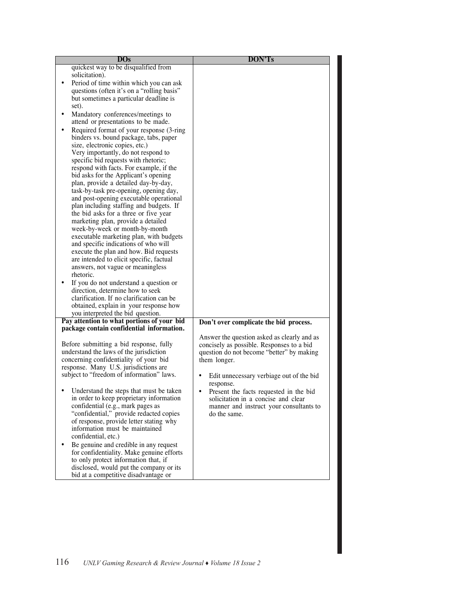| Don't over complicate the bid process.                                                                                                                                                                                                                                                                                                                          |
|-----------------------------------------------------------------------------------------------------------------------------------------------------------------------------------------------------------------------------------------------------------------------------------------------------------------------------------------------------------------|
| Answer the question asked as clearly and as<br>concisely as possible. Responses to a bid<br>question do not become "better" by making<br>them longer.<br>Edit unnecessary verbiage out of the bid<br>response.<br>Present the facts requested in the bid<br>٠<br>solicitation in a concise and clear<br>manner and instruct your consultants to<br>do the same. |
|                                                                                                                                                                                                                                                                                                                                                                 |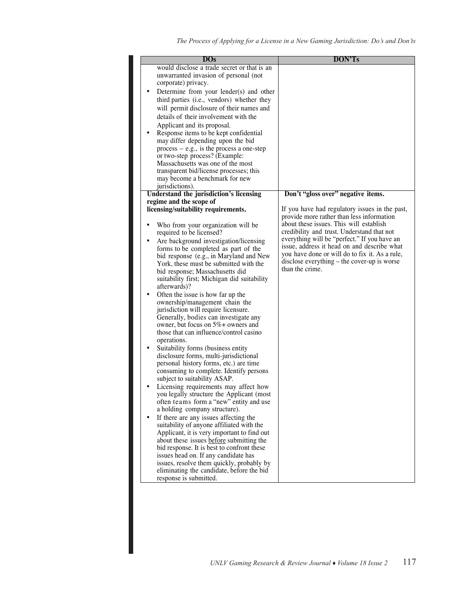| $\overline{\text{DOs}}$                                                                                                                                                                                                                                                                                                                                                                                                                                                                                                                                                                                                                                                                                                                                                                                                                                                                                                                                                                                                                                                                                                                                                                                                                                                                                                                                                                                                                                                | DON'Ts                                                                                                                                                                                                                                                                                                                                                                                                  |
|------------------------------------------------------------------------------------------------------------------------------------------------------------------------------------------------------------------------------------------------------------------------------------------------------------------------------------------------------------------------------------------------------------------------------------------------------------------------------------------------------------------------------------------------------------------------------------------------------------------------------------------------------------------------------------------------------------------------------------------------------------------------------------------------------------------------------------------------------------------------------------------------------------------------------------------------------------------------------------------------------------------------------------------------------------------------------------------------------------------------------------------------------------------------------------------------------------------------------------------------------------------------------------------------------------------------------------------------------------------------------------------------------------------------------------------------------------------------|---------------------------------------------------------------------------------------------------------------------------------------------------------------------------------------------------------------------------------------------------------------------------------------------------------------------------------------------------------------------------------------------------------|
| would disclose a trade secret or that is an<br>unwarranted invasion of personal (not<br>corporate) privacy.<br>Determine from your lender(s) and other<br>third parties (i.e., vendors) whether they<br>will permit disclosure of their names and<br>details of their involvement with the<br>Applicant and its proposal.<br>Response items to be kept confidential<br>may differ depending upon the bid<br>$process - e.g.,$ is the process a one-step<br>or two-step process? (Example:<br>Massachusetts was one of the most<br>transparent bid/license processes; this<br>may become a benchmark for new<br>jurisdictions).                                                                                                                                                                                                                                                                                                                                                                                                                                                                                                                                                                                                                                                                                                                                                                                                                                         |                                                                                                                                                                                                                                                                                                                                                                                                         |
| Understand the jurisdiction's licensing                                                                                                                                                                                                                                                                                                                                                                                                                                                                                                                                                                                                                                                                                                                                                                                                                                                                                                                                                                                                                                                                                                                                                                                                                                                                                                                                                                                                                                | Don't "gloss over" negative items.                                                                                                                                                                                                                                                                                                                                                                      |
| regime and the scope of<br>licensing/suitability requirements.<br>Who from your organization will be<br>required to be licensed?<br>Are background investigation/licensing<br>$\bullet$<br>forms to be completed as part of the<br>bid response (e.g., in Maryland and New<br>York, these must be submitted with the<br>bid response; Massachusetts did<br>suitability first; Michigan did suitability<br>afterwards)?<br>Often the issue is how far up the<br>٠<br>ownership/management chain the<br>jurisdiction will require licensure.<br>Generally, bodies can investigate any<br>owner, but focus on $5\%$ + owners and<br>those that can influence/control casino<br>operations.<br>Suitability forms (business entity<br>$\bullet$<br>disclosure forms, multi-jurisdictional<br>personal history forms, etc.) are time<br>consuming to complete. Identify persons<br>subject to suitability ASAP.<br>Licensing requirements may affect how<br>you legally structure the Applicant (most<br>often teams form a "new" entity and use<br>a holding company structure).<br>If there are any issues affecting the<br>suitability of anyone affiliated with the<br>Applicant, it is very important to find out<br>about these issues before submitting the<br>bid response. It is best to confront these<br>issues head on. If any candidate has<br>issues, resolve them quickly, probably by<br>eliminating the candidate, before the bid<br>response is submitted. | If you have had regulatory issues in the past,<br>provide more rather than less information<br>about these issues. This will establish<br>credibility and trust. Understand that not<br>everything will be "perfect." If you have an<br>issue, address it head on and describe what<br>you have done or will do to fix it. As a rule,<br>disclose everything – the cover-up is worse<br>than the crime. |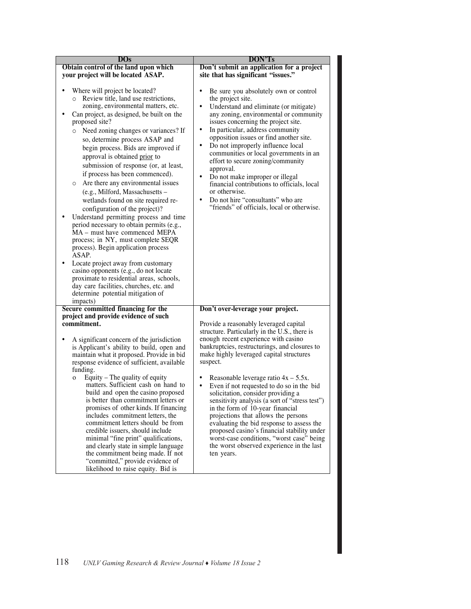| DOS                                                                                                                                                                                                                                                                                                                                                                                                                                                                                                                                                                                                                                                                                                                                                                                                                                                                                                                                                                                                                     | <b>DON'Ts</b>                                                                                                                                                                                                                                                                                                                                                                                                                                                                                                                                                                                                                                                                                                        |
|-------------------------------------------------------------------------------------------------------------------------------------------------------------------------------------------------------------------------------------------------------------------------------------------------------------------------------------------------------------------------------------------------------------------------------------------------------------------------------------------------------------------------------------------------------------------------------------------------------------------------------------------------------------------------------------------------------------------------------------------------------------------------------------------------------------------------------------------------------------------------------------------------------------------------------------------------------------------------------------------------------------------------|----------------------------------------------------------------------------------------------------------------------------------------------------------------------------------------------------------------------------------------------------------------------------------------------------------------------------------------------------------------------------------------------------------------------------------------------------------------------------------------------------------------------------------------------------------------------------------------------------------------------------------------------------------------------------------------------------------------------|
| Obtain control of the land upon which                                                                                                                                                                                                                                                                                                                                                                                                                                                                                                                                                                                                                                                                                                                                                                                                                                                                                                                                                                                   | Don't submit an application for a project                                                                                                                                                                                                                                                                                                                                                                                                                                                                                                                                                                                                                                                                            |
| your project will be located ASAP.                                                                                                                                                                                                                                                                                                                                                                                                                                                                                                                                                                                                                                                                                                                                                                                                                                                                                                                                                                                      | site that has significant "issues."                                                                                                                                                                                                                                                                                                                                                                                                                                                                                                                                                                                                                                                                                  |
| Where will project be located?<br>Review title, land use restrictions,<br>$\circ$<br>zoning, environmental matters, etc.<br>Can project, as designed, be built on the<br>proposed site?<br>Need zoning changes or variances? If<br>so, determine process ASAP and<br>begin process. Bids are improved if<br>approval is obtained prior to<br>submission of response (or, at least,<br>if process has been commenced).<br>Are there any environmental issues<br>$\circ$<br>(e.g., Milford, Massachusetts -<br>wetlands found on site required re-<br>configuration of the project)?<br>Understand permitting process and time<br>period necessary to obtain permits (e.g.,<br>MA - must have commenced MEPA<br>process; in NY, must complete SEQR<br>process). Begin application process<br>ASAP.<br>Locate project away from customary<br>casino opponents (e.g., do not locate<br>proximate to residential areas, schools,<br>day care facilities, churches, etc. and<br>determine potential mitigation of<br>impacts) | Be sure you absolutely own or control<br>٠<br>the project site.<br>$\bullet$<br>Understand and eliminate (or mitigate)<br>any zoning, environmental or community<br>issues concerning the project site.<br>$\bullet$<br>In particular, address community<br>opposition issues or find another site.<br>Do not improperly influence local<br>$\bullet$<br>communities or local governments in an<br>effort to secure zoning/community<br>approval.<br>$\bullet$<br>Do not make improper or illegal<br>financial contributions to officials, local<br>or otherwise.<br>Do not hire "consultants" who are<br>$\bullet$<br>"friends" of officials, local or otherwise.                                                   |
| Secure committed financing for the                                                                                                                                                                                                                                                                                                                                                                                                                                                                                                                                                                                                                                                                                                                                                                                                                                                                                                                                                                                      | Don't over-leverage your project.                                                                                                                                                                                                                                                                                                                                                                                                                                                                                                                                                                                                                                                                                    |
| project and provide evidence of such                                                                                                                                                                                                                                                                                                                                                                                                                                                                                                                                                                                                                                                                                                                                                                                                                                                                                                                                                                                    |                                                                                                                                                                                                                                                                                                                                                                                                                                                                                                                                                                                                                                                                                                                      |
| commitment.<br>A significant concern of the jurisdiction<br>is Applicant's ability to build, open and<br>maintain what it proposed. Provide in bid<br>response evidence of sufficient, available<br>funding.<br>Equity – The quality of equity<br>O<br>matters. Sufficient cash on hand to<br>build and open the casino proposed<br>is better than commitment letters or<br>promises of other kinds. If financing<br>includes commitment letters, the<br>commitment letters should be from<br>credible issuers, should include<br>minimal "fine print" qualifications,<br>and clearly state in simple language<br>the commitment being made. If not<br>"committed," provide evidence of<br>likelihood to raise equity. Bid is                                                                                                                                                                                                                                                                                           | Provide a reasonably leveraged capital<br>structure. Particularly in the U.S., there is<br>enough recent experience with casino<br>bankruptcies, restructurings, and closures to<br>make highly leveraged capital structures<br>suspect.<br>Reasonable leverage ratio $4x - 5.5x$ .<br>Even if not requested to do so in the bid<br>$\bullet$<br>solicitation, consider providing a<br>sensitivity analysis (a sort of "stress test")<br>in the form of 10-year financial<br>projections that allows the persons<br>evaluating the bid response to assess the<br>proposed casino's financial stability under<br>worst-case conditions, "worst case" being<br>the worst observed experience in the last<br>ten years. |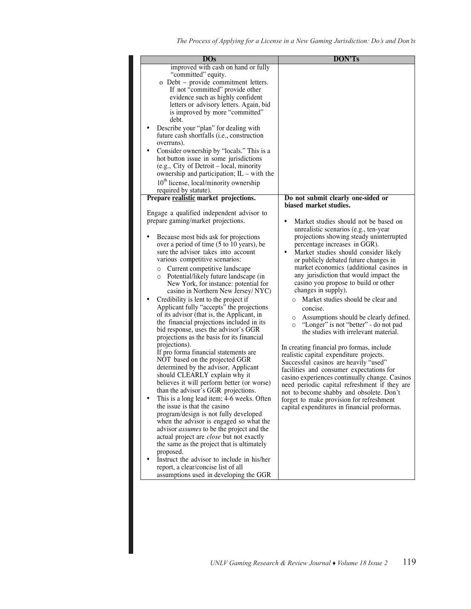| $\overline{\text{DO}}$ s                                                                                                                                                                                                                                                                                                                                                                                                                                                                                                                                                                                                                                                                                                                                                                                                                                                                                                                                                                                                                                                                                                                                                                                                                                                                                                                               | <b>DON'Ts</b>                                                                                                                                                                                                                                                                                                                                                                                                                                                                                                                                                                                                                                                                                                                                                                                                                                                                                                                                      |
|--------------------------------------------------------------------------------------------------------------------------------------------------------------------------------------------------------------------------------------------------------------------------------------------------------------------------------------------------------------------------------------------------------------------------------------------------------------------------------------------------------------------------------------------------------------------------------------------------------------------------------------------------------------------------------------------------------------------------------------------------------------------------------------------------------------------------------------------------------------------------------------------------------------------------------------------------------------------------------------------------------------------------------------------------------------------------------------------------------------------------------------------------------------------------------------------------------------------------------------------------------------------------------------------------------------------------------------------------------|----------------------------------------------------------------------------------------------------------------------------------------------------------------------------------------------------------------------------------------------------------------------------------------------------------------------------------------------------------------------------------------------------------------------------------------------------------------------------------------------------------------------------------------------------------------------------------------------------------------------------------------------------------------------------------------------------------------------------------------------------------------------------------------------------------------------------------------------------------------------------------------------------------------------------------------------------|
| improved with cash on hand or fully<br>"committed" equity.<br>o Debt – provide commitment letters.<br>If not "committed" provide other<br>evidence such as highly confident<br>letters or advisory letters. Again, bid<br>is improved by more "committed"<br>debt.<br>Describe your "plan" for dealing with<br>future cash shortfalls ( <i>i.e.</i> , construction<br>overruns).<br>Consider ownership by "locals." This is a<br>hot button issue in some jurisdictions<br>(e.g., City of Detroit – local, minority<br>ownership and participation; $IL - with the$<br>$10th$ license, local/minority ownership<br>required by statute).<br>Prepare realistic market projections.<br>Engage a qualified independent advisor to<br>prepare gaming/market projections.                                                                                                                                                                                                                                                                                                                                                                                                                                                                                                                                                                                   | Do not submit clearly one-sided or<br>biased market studies.<br>Market studies should not be based on<br>٠<br>unrealistic scenarios (e.g., ten-year                                                                                                                                                                                                                                                                                                                                                                                                                                                                                                                                                                                                                                                                                                                                                                                                |
| Because most bids ask for projections<br>over a period of time (5 to 10 years), be<br>sure the advisor takes into account<br>various competitive scenarios:<br>Current competitive landscape<br>O<br>Potential/likely future landscape (in<br>$\circ$<br>New York, for instance: potential for<br>casino in Northern New Jersey/NYC)<br>Credibility is lent to the project if<br>Applicant fully "accepts" the projections<br>of its advisor (that is, the Applicant, in<br>the financial projections included in its<br>bid response, uses the advisor's GGR<br>projections as the basis for its financial<br>projections).<br>If pro forma financial statements are.<br>NOT based on the projected GGR<br>determined by the advisor, Applicant<br>should CLEARLY explain why it<br>believes it will perform better (or worse)<br>than the advisor's GGR projections.<br>This is a long lead item; 4-6 weeks. Often<br>the issue is that the casino<br>program/design is not fully developed<br>when the advisor is engaged so what the<br>advisor <i>assumes</i> to be the project and the<br>actual project are <i>close</i> but not exactly<br>the same as the project that is ultimately<br>proposed.<br>Instruct the advisor to include in his/her<br>$\bullet$<br>report, a clear/concise list of all<br>assumptions used in developing the GGR | projections showing steady uninterrupted<br>percentage increases in GGR).<br>$\bullet$<br>Market studies should consider likely<br>or publicly debated future changes in<br>market economics (additional casinos in<br>any jurisdiction that would impact the<br>casino you propose to build or other<br>changes in supply).<br>Market studies should be clear and<br>concise.<br>Assumptions should be clearly defined.<br>0<br>"Longer" is not "better" - do not pad<br>$\circ$<br>the studies with irrelevant material.<br>In creating financial pro formas, include<br>realistic capital expenditure projects.<br>Successful casinos are heavily "used"<br>facilities and consumer expectations for<br>casino experiences continually change. Casinos<br>need periodic capital refreshment if they are<br>not to become shabby and obsolete. Don't<br>forget to make provision for refreshment<br>capital expenditures in financial proformas. |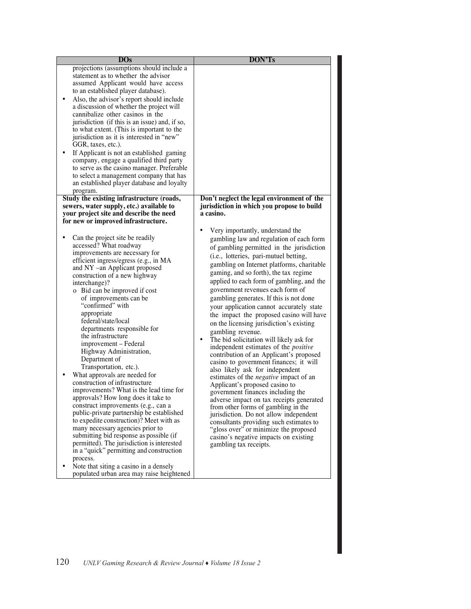| projections (assumptions should include a<br>statement as to whether the advisor<br>assumed Applicant would have access<br>to an established player database).<br>$\bullet$<br>Also, the advisor's report should include<br>a discussion of whether the project will<br>cannibalize other casinos in the<br>jurisdiction (if this is an issue) and, if so,<br>to what extent. (This is important to the<br>jurisdiction as it is interested in "new"<br>GGR, taxes, etc.).<br>If Applicant is not an established gaming<br>$\bullet$<br>company, engage a qualified third party<br>to serve as the casino manager. Preferable<br>to select a management company that has<br>an established player database and loyalty<br>program.<br>Study the existing infrastructure (roads,<br>Don't neglect the legal environment of the<br>sewers, water supply, etc.) available to<br>jurisdiction in which you propose to build<br>your project site and describe the need<br>a casino.<br>for new or improved infrastructure.<br>Very importantly, understand the |
|------------------------------------------------------------------------------------------------------------------------------------------------------------------------------------------------------------------------------------------------------------------------------------------------------------------------------------------------------------------------------------------------------------------------------------------------------------------------------------------------------------------------------------------------------------------------------------------------------------------------------------------------------------------------------------------------------------------------------------------------------------------------------------------------------------------------------------------------------------------------------------------------------------------------------------------------------------------------------------------------------------------------------------------------------------|
|                                                                                                                                                                                                                                                                                                                                                                                                                                                                                                                                                                                                                                                                                                                                                                                                                                                                                                                                                                                                                                                            |
|                                                                                                                                                                                                                                                                                                                                                                                                                                                                                                                                                                                                                                                                                                                                                                                                                                                                                                                                                                                                                                                            |
|                                                                                                                                                                                                                                                                                                                                                                                                                                                                                                                                                                                                                                                                                                                                                                                                                                                                                                                                                                                                                                                            |
|                                                                                                                                                                                                                                                                                                                                                                                                                                                                                                                                                                                                                                                                                                                                                                                                                                                                                                                                                                                                                                                            |
|                                                                                                                                                                                                                                                                                                                                                                                                                                                                                                                                                                                                                                                                                                                                                                                                                                                                                                                                                                                                                                                            |
|                                                                                                                                                                                                                                                                                                                                                                                                                                                                                                                                                                                                                                                                                                                                                                                                                                                                                                                                                                                                                                                            |
|                                                                                                                                                                                                                                                                                                                                                                                                                                                                                                                                                                                                                                                                                                                                                                                                                                                                                                                                                                                                                                                            |
|                                                                                                                                                                                                                                                                                                                                                                                                                                                                                                                                                                                                                                                                                                                                                                                                                                                                                                                                                                                                                                                            |
|                                                                                                                                                                                                                                                                                                                                                                                                                                                                                                                                                                                                                                                                                                                                                                                                                                                                                                                                                                                                                                                            |
|                                                                                                                                                                                                                                                                                                                                                                                                                                                                                                                                                                                                                                                                                                                                                                                                                                                                                                                                                                                                                                                            |
|                                                                                                                                                                                                                                                                                                                                                                                                                                                                                                                                                                                                                                                                                                                                                                                                                                                                                                                                                                                                                                                            |
|                                                                                                                                                                                                                                                                                                                                                                                                                                                                                                                                                                                                                                                                                                                                                                                                                                                                                                                                                                                                                                                            |
|                                                                                                                                                                                                                                                                                                                                                                                                                                                                                                                                                                                                                                                                                                                                                                                                                                                                                                                                                                                                                                                            |
|                                                                                                                                                                                                                                                                                                                                                                                                                                                                                                                                                                                                                                                                                                                                                                                                                                                                                                                                                                                                                                                            |
|                                                                                                                                                                                                                                                                                                                                                                                                                                                                                                                                                                                                                                                                                                                                                                                                                                                                                                                                                                                                                                                            |
|                                                                                                                                                                                                                                                                                                                                                                                                                                                                                                                                                                                                                                                                                                                                                                                                                                                                                                                                                                                                                                                            |
|                                                                                                                                                                                                                                                                                                                                                                                                                                                                                                                                                                                                                                                                                                                                                                                                                                                                                                                                                                                                                                                            |
|                                                                                                                                                                                                                                                                                                                                                                                                                                                                                                                                                                                                                                                                                                                                                                                                                                                                                                                                                                                                                                                            |
|                                                                                                                                                                                                                                                                                                                                                                                                                                                                                                                                                                                                                                                                                                                                                                                                                                                                                                                                                                                                                                                            |
|                                                                                                                                                                                                                                                                                                                                                                                                                                                                                                                                                                                                                                                                                                                                                                                                                                                                                                                                                                                                                                                            |
|                                                                                                                                                                                                                                                                                                                                                                                                                                                                                                                                                                                                                                                                                                                                                                                                                                                                                                                                                                                                                                                            |
|                                                                                                                                                                                                                                                                                                                                                                                                                                                                                                                                                                                                                                                                                                                                                                                                                                                                                                                                                                                                                                                            |
| Can the project site be readily<br>gambling law and regulation of each form                                                                                                                                                                                                                                                                                                                                                                                                                                                                                                                                                                                                                                                                                                                                                                                                                                                                                                                                                                                |
| accessed? What roadway<br>of gambling permitted in the jurisdiction                                                                                                                                                                                                                                                                                                                                                                                                                                                                                                                                                                                                                                                                                                                                                                                                                                                                                                                                                                                        |
| improvements are necessary for<br>(i.e., lotteries, pari-mutuel betting,<br>efficient ingress/egress (e.g., in MA                                                                                                                                                                                                                                                                                                                                                                                                                                                                                                                                                                                                                                                                                                                                                                                                                                                                                                                                          |
| gambling on Internet platforms, charitable<br>and NY –an Applicant proposed                                                                                                                                                                                                                                                                                                                                                                                                                                                                                                                                                                                                                                                                                                                                                                                                                                                                                                                                                                                |
| gaming, and so forth), the tax regime<br>construction of a new highway                                                                                                                                                                                                                                                                                                                                                                                                                                                                                                                                                                                                                                                                                                                                                                                                                                                                                                                                                                                     |
| applied to each form of gambling, and the<br>interchange)?                                                                                                                                                                                                                                                                                                                                                                                                                                                                                                                                                                                                                                                                                                                                                                                                                                                                                                                                                                                                 |
| government revenues each form of<br>o Bid can be improved if cost                                                                                                                                                                                                                                                                                                                                                                                                                                                                                                                                                                                                                                                                                                                                                                                                                                                                                                                                                                                          |
| of improvements can be<br>gambling generates. If this is not done                                                                                                                                                                                                                                                                                                                                                                                                                                                                                                                                                                                                                                                                                                                                                                                                                                                                                                                                                                                          |
| "confirmed" with<br>your application cannot accurately state                                                                                                                                                                                                                                                                                                                                                                                                                                                                                                                                                                                                                                                                                                                                                                                                                                                                                                                                                                                               |
| appropriate<br>the impact the proposed casino will have                                                                                                                                                                                                                                                                                                                                                                                                                                                                                                                                                                                                                                                                                                                                                                                                                                                                                                                                                                                                    |
| federal/state/local<br>on the licensing jurisdiction's existing                                                                                                                                                                                                                                                                                                                                                                                                                                                                                                                                                                                                                                                                                                                                                                                                                                                                                                                                                                                            |
| departments responsible for                                                                                                                                                                                                                                                                                                                                                                                                                                                                                                                                                                                                                                                                                                                                                                                                                                                                                                                                                                                                                                |
| gambling revenue.<br>the infrastructure<br>٠                                                                                                                                                                                                                                                                                                                                                                                                                                                                                                                                                                                                                                                                                                                                                                                                                                                                                                                                                                                                               |
| The bid solicitation will likely ask for<br>improvement – Federal<br>independent estimates of the <i>positive</i>                                                                                                                                                                                                                                                                                                                                                                                                                                                                                                                                                                                                                                                                                                                                                                                                                                                                                                                                          |
| Highway Administration,<br>contribution of an Applicant's proposed                                                                                                                                                                                                                                                                                                                                                                                                                                                                                                                                                                                                                                                                                                                                                                                                                                                                                                                                                                                         |
| Department of<br>casino to government finances; it will                                                                                                                                                                                                                                                                                                                                                                                                                                                                                                                                                                                                                                                                                                                                                                                                                                                                                                                                                                                                    |
| Transportation, etc.).<br>also likely ask for independent                                                                                                                                                                                                                                                                                                                                                                                                                                                                                                                                                                                                                                                                                                                                                                                                                                                                                                                                                                                                  |
| What approvals are needed for<br>estimates of the <i>negative</i> impact of an                                                                                                                                                                                                                                                                                                                                                                                                                                                                                                                                                                                                                                                                                                                                                                                                                                                                                                                                                                             |
| construction of infrastructure<br>Applicant's proposed casino to                                                                                                                                                                                                                                                                                                                                                                                                                                                                                                                                                                                                                                                                                                                                                                                                                                                                                                                                                                                           |
| improvements? What is the lead time for<br>government finances including the                                                                                                                                                                                                                                                                                                                                                                                                                                                                                                                                                                                                                                                                                                                                                                                                                                                                                                                                                                               |
| approvals? How long does it take to<br>adverse impact on tax receipts generated                                                                                                                                                                                                                                                                                                                                                                                                                                                                                                                                                                                                                                                                                                                                                                                                                                                                                                                                                                            |
| construct improvements (e.g., can a<br>from other forms of gambling in the                                                                                                                                                                                                                                                                                                                                                                                                                                                                                                                                                                                                                                                                                                                                                                                                                                                                                                                                                                                 |
| public-private partnership be established<br>jurisdiction. Do not allow independent                                                                                                                                                                                                                                                                                                                                                                                                                                                                                                                                                                                                                                                                                                                                                                                                                                                                                                                                                                        |
| to expedite construction)? Meet with as<br>consultants providing such estimates to                                                                                                                                                                                                                                                                                                                                                                                                                                                                                                                                                                                                                                                                                                                                                                                                                                                                                                                                                                         |
| many necessary agencies prior to<br>"gloss over" or minimize the proposed                                                                                                                                                                                                                                                                                                                                                                                                                                                                                                                                                                                                                                                                                                                                                                                                                                                                                                                                                                                  |
| submitting bid response as possible (if<br>casino's negative impacts on existing                                                                                                                                                                                                                                                                                                                                                                                                                                                                                                                                                                                                                                                                                                                                                                                                                                                                                                                                                                           |
| permitted). The jurisdiction is interested<br>gambling tax receipts.                                                                                                                                                                                                                                                                                                                                                                                                                                                                                                                                                                                                                                                                                                                                                                                                                                                                                                                                                                                       |
| in a "quick" permitting and construction                                                                                                                                                                                                                                                                                                                                                                                                                                                                                                                                                                                                                                                                                                                                                                                                                                                                                                                                                                                                                   |
| process.                                                                                                                                                                                                                                                                                                                                                                                                                                                                                                                                                                                                                                                                                                                                                                                                                                                                                                                                                                                                                                                   |
| Note that siting a casino in a densely<br>$\bullet$                                                                                                                                                                                                                                                                                                                                                                                                                                                                                                                                                                                                                                                                                                                                                                                                                                                                                                                                                                                                        |
| populated urban area may raise heightened                                                                                                                                                                                                                                                                                                                                                                                                                                                                                                                                                                                                                                                                                                                                                                                                                                                                                                                                                                                                                  |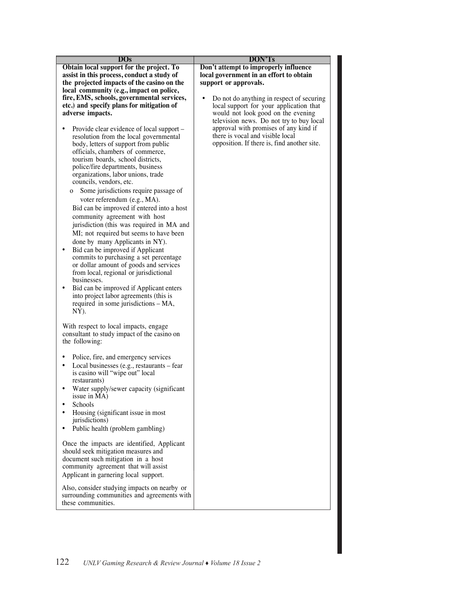| $\overline{\text{DOs}}$                                                                                                                                                                                                                                                                                                                                                                                                                                                                                                                                                                                                                                                                                                                                                                                                                              | <b>DON'Ts</b>                                                                                                                                                                                                                                         |
|------------------------------------------------------------------------------------------------------------------------------------------------------------------------------------------------------------------------------------------------------------------------------------------------------------------------------------------------------------------------------------------------------------------------------------------------------------------------------------------------------------------------------------------------------------------------------------------------------------------------------------------------------------------------------------------------------------------------------------------------------------------------------------------------------------------------------------------------------|-------------------------------------------------------------------------------------------------------------------------------------------------------------------------------------------------------------------------------------------------------|
| Obtain local support for the project. To                                                                                                                                                                                                                                                                                                                                                                                                                                                                                                                                                                                                                                                                                                                                                                                                             | Don't attempt to improperly influence                                                                                                                                                                                                                 |
| assist in this process, conduct a study of                                                                                                                                                                                                                                                                                                                                                                                                                                                                                                                                                                                                                                                                                                                                                                                                           | local government in an effort to obtain                                                                                                                                                                                                               |
| the projected impacts of the casino on the                                                                                                                                                                                                                                                                                                                                                                                                                                                                                                                                                                                                                                                                                                                                                                                                           | support or approvals.                                                                                                                                                                                                                                 |
| local community (e.g., impact on police,                                                                                                                                                                                                                                                                                                                                                                                                                                                                                                                                                                                                                                                                                                                                                                                                             |                                                                                                                                                                                                                                                       |
| fire, EMS, schools, governmental services,                                                                                                                                                                                                                                                                                                                                                                                                                                                                                                                                                                                                                                                                                                                                                                                                           | Do not do anything in respect of securing                                                                                                                                                                                                             |
|                                                                                                                                                                                                                                                                                                                                                                                                                                                                                                                                                                                                                                                                                                                                                                                                                                                      |                                                                                                                                                                                                                                                       |
| etc.) and specify plans for mitigation of<br>adverse impacts.<br>Provide clear evidence of local support –<br>resolution from the local governmental<br>body, letters of support from public<br>officials, chambers of commerce,<br>tourism boards, school districts,<br>police/fire departments, business<br>organizations, labor unions, trade<br>councils, vendors, etc.<br>Some jurisdictions require passage of<br>O<br>voter referendum (e.g., MA).<br>Bid can be improved if entered into a host<br>community agreement with host<br>jurisdiction (this was required in MA and<br>MI; not required but seems to have been<br>done by many Applicants in NY).<br>Bid can be improved if Applicant<br>commits to purchasing a set percentage<br>or dollar amount of goods and services<br>from local, regional or jurisdictional<br>businesses. | local support for your application that<br>would not look good on the evening<br>television news. Do not try to buy local<br>approval with promises of any kind if<br>there is vocal and visible local<br>opposition. If there is, find another site. |
| Bid can be improved if Applicant enters<br>into project labor agreements (this is<br>required in some jurisdictions - MA,<br>$NY)$ .<br>With respect to local impacts, engage<br>consultant to study impact of the casino on                                                                                                                                                                                                                                                                                                                                                                                                                                                                                                                                                                                                                         |                                                                                                                                                                                                                                                       |
| the following:                                                                                                                                                                                                                                                                                                                                                                                                                                                                                                                                                                                                                                                                                                                                                                                                                                       |                                                                                                                                                                                                                                                       |
| Police, fire, and emergency services<br>٠<br>Local businesses (e.g., restaurants – fear<br>٠<br>is casino will "wipe out" local<br>restaurants)                                                                                                                                                                                                                                                                                                                                                                                                                                                                                                                                                                                                                                                                                                      |                                                                                                                                                                                                                                                       |
| Water supply/sewer capacity (significant<br>issue in MA)<br>Schools                                                                                                                                                                                                                                                                                                                                                                                                                                                                                                                                                                                                                                                                                                                                                                                  |                                                                                                                                                                                                                                                       |
| Housing (significant issue in most<br>jurisdictions)<br>Public health (problem gambling)                                                                                                                                                                                                                                                                                                                                                                                                                                                                                                                                                                                                                                                                                                                                                             |                                                                                                                                                                                                                                                       |
| Once the impacts are identified, Applicant<br>should seek mitigation measures and<br>document such mitigation in a host<br>community agreement that will assist<br>Applicant in garnering local support.                                                                                                                                                                                                                                                                                                                                                                                                                                                                                                                                                                                                                                             |                                                                                                                                                                                                                                                       |
| Also, consider studying impacts on nearby or<br>surrounding communities and agreements with<br>these communities.                                                                                                                                                                                                                                                                                                                                                                                                                                                                                                                                                                                                                                                                                                                                    |                                                                                                                                                                                                                                                       |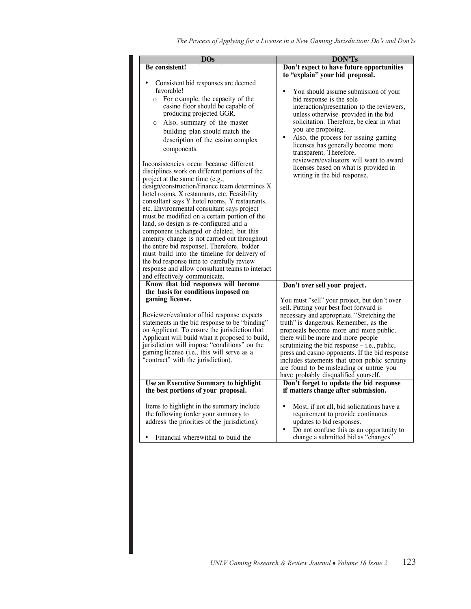| DOs                                                                                                                                                                                                                                                                                                                                                                                                                                                                                                                                                                                                                                                                                                                                                                                                                                                                                                                                                                                                                                                                             | DON'Ts                                                                                                                                                                                                                                                                                                                                                                                                                                                                                                                                 |
|---------------------------------------------------------------------------------------------------------------------------------------------------------------------------------------------------------------------------------------------------------------------------------------------------------------------------------------------------------------------------------------------------------------------------------------------------------------------------------------------------------------------------------------------------------------------------------------------------------------------------------------------------------------------------------------------------------------------------------------------------------------------------------------------------------------------------------------------------------------------------------------------------------------------------------------------------------------------------------------------------------------------------------------------------------------------------------|----------------------------------------------------------------------------------------------------------------------------------------------------------------------------------------------------------------------------------------------------------------------------------------------------------------------------------------------------------------------------------------------------------------------------------------------------------------------------------------------------------------------------------------|
|                                                                                                                                                                                                                                                                                                                                                                                                                                                                                                                                                                                                                                                                                                                                                                                                                                                                                                                                                                                                                                                                                 |                                                                                                                                                                                                                                                                                                                                                                                                                                                                                                                                        |
| <b>Be</b> consistent!<br>Consistent bid responses are deemed<br>favorable!<br>For example, the capacity of the<br>$\circ$<br>casino floor should be capable of<br>producing projected GGR.<br>Also, summary of the master<br>$\circ$<br>building plan should match the<br>description of the casino complex<br>components.<br>Inconsistencies occur because different<br>disciplines work on different portions of the<br>project at the same time (e.g.,<br>design/construction/finance team determines X<br>hotel rooms, X restaurants, etc. Feasibility<br>consultant says Y hotel rooms, Y restaurants,<br>etc. Environmental consultant says project<br>must be modified on a certain portion of the<br>land, so design is re-configured and a<br>component is changed or deleted, but this<br>amenity change is not carried out throughout<br>the entire bid response). Therefore, bidder<br>must build into the timeline for delivery of<br>the bid response time to carefully review<br>response and allow consultant teams to interact<br>and effectively communicate. | Don't expect to have future opportunities<br>to "explain" your bid proposal.<br>You should assume submission of your<br>bid response is the sole<br>interaction/presentation to the reviewers,<br>unless otherwise provided in the bid<br>solicitation. Therefore, be clear in what<br>you are proposing.<br>Also, the process for issuing gaming<br>licenses has generally become more<br>transparent. Therefore,<br>reviewers/evaluators will want to award<br>licenses based on what is provided in<br>writing in the bid response. |
| Know that bid responses will become                                                                                                                                                                                                                                                                                                                                                                                                                                                                                                                                                                                                                                                                                                                                                                                                                                                                                                                                                                                                                                             | Don't over sell your project.                                                                                                                                                                                                                                                                                                                                                                                                                                                                                                          |
| the basis for conditions imposed on<br>gaming license.                                                                                                                                                                                                                                                                                                                                                                                                                                                                                                                                                                                                                                                                                                                                                                                                                                                                                                                                                                                                                          | You must "sell" your project, but don't over                                                                                                                                                                                                                                                                                                                                                                                                                                                                                           |
| Reviewer/evaluator of bid response expects<br>statements in the bid response to be "binding"<br>on Applicant. To ensure the jurisdiction that<br>Applicant will build what it proposed to build,<br>jurisdiction will impose "conditions" on the<br>gaming license (i.e., this will serve as a<br>"contract" with the jurisdiction).                                                                                                                                                                                                                                                                                                                                                                                                                                                                                                                                                                                                                                                                                                                                            | sell. Putting your best foot forward is<br>necessary and appropriate. "Stretching the<br>truth" is dangerous. Remember, as the<br>proposals become more and more public,<br>there will be more and more people<br>scrutinizing the bid response $-$ i.e., public,<br>press and casino opponents. If the bid response<br>includes statements that upon public scrutiny<br>are found to be misleading or untrue you<br>have probably disqualified yourself.                                                                              |
| Use an Executive Summary to highlight                                                                                                                                                                                                                                                                                                                                                                                                                                                                                                                                                                                                                                                                                                                                                                                                                                                                                                                                                                                                                                           | Don't forget to update the bid response                                                                                                                                                                                                                                                                                                                                                                                                                                                                                                |
| the best portions of your proposal.<br>Items to highlight in the summary include<br>the following (order your summary to<br>address the priorities of the jurisdiction):<br>Financial wherewithal to build the                                                                                                                                                                                                                                                                                                                                                                                                                                                                                                                                                                                                                                                                                                                                                                                                                                                                  | if matters change after submission.<br>Most, if not all, bid solicitations have a<br>requirement to provide continuous<br>updates to bid responses.<br>Do not confuse this as an opportunity to<br>change a submitted bid as "changes"                                                                                                                                                                                                                                                                                                 |